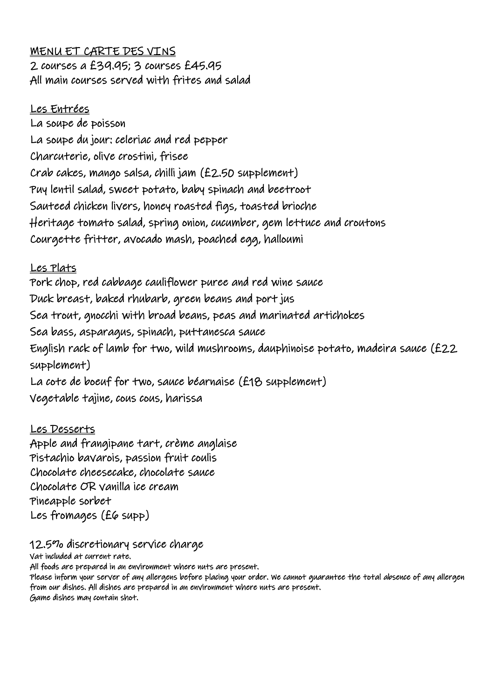### MENU ET CARTE DES VINS 2 courses a £39.95; 3 courses £45.95 All main courses served with frites and salad

## Les Entrées

La soupe de poisson La soupe du jour: celeriac and red pepper Charcuterie, olive crostini, frisee Crab cakes, mango salsa, chilli jam (£2.50 supplement) Puy lentil salad, sweet potato, baby spinach and beetroot Sauteed chicken livers, honey roasted figs, toasted brioche Heritage tomato salad, spring onion, cucumber, gem lettuce and croutons Courgette fritter, avocado mash, poached egg, halloumi

### Les Plats

Pork chop, red cabbage cauliflower puree and red wine sauce Duck breast, baked rhubarb, green beans and port jus Sea trout, gnocchi with broad beans, peas and marinated artichokes Sea bass, asparagus, spinach, puttanesca sauce English rack of lamb for two, wild mushrooms, dauphinoise potato, madeira sauce (£22 supplement) La cote de boeuf for two, sauce béarnaise (£18 supplement) Vegetable tajine, cous cous, harissa

## Les Desserts

Apple and frangipane tart, crème anglaise Pistachio bavarois, passion fruit coulis Chocolate cheesecake, chocolate sauce Chocolate OR vanilla ice cream Pineapple sorbet Les fromages (£6 supp)

# 12.5% discretionary service charge Vat included at current rate.

All foods are prepared in an environment where nuts are present.

Please inform your server of any allergens before placing your order. We cannot guarantee the total absence of any allergen from our dishes. All dishes are prepared in an environment where nuts are present. Game dishes may contain shot.